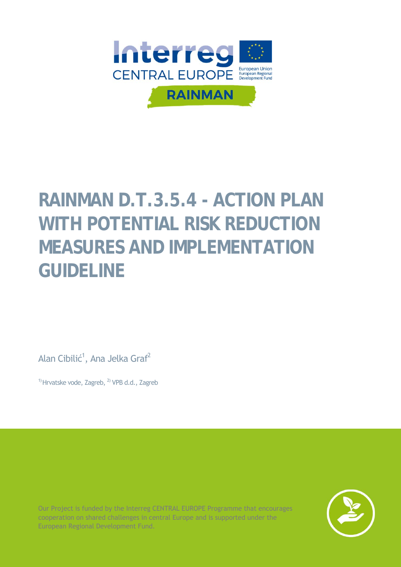

# **RAINMAN D.T.3.5.4 - ACTION PLAN WITH POTENTIAL RISK REDUCTION MEASURES AND IMPLEMENTATION GUIDELINE**

Alan Cibilić<sup>1</sup>, Ana Jelka Graf<sup>2</sup>

 $1)$  Hrvatske vode, Zagreb,  $2)$  VPB d.d., Zagreb

Our Project is funded by the Interreg CENTRAL EUROPE Programme that encourages cooperation on shared challenges in central Europe and is supported under the European Regional Development Fund.

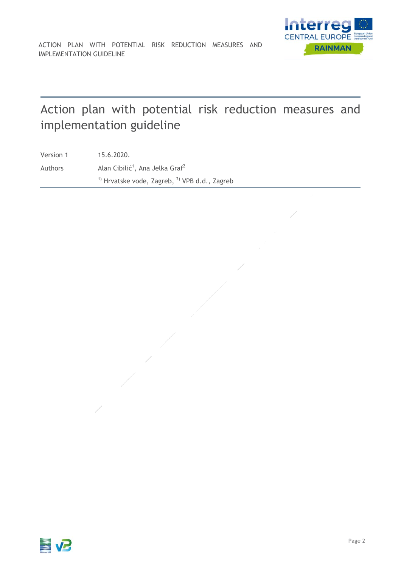# Action plan with potential risk reduction measures and implementation guideline

Version 1 15.6.2020. Authors  $\lambda$ Alan Cibilić<sup>1</sup>, Ana Jelka Graf<sup>2</sup>  $1)$  Hrvatske vode, Zagreb,  $2)$  VPB d.d., Zagreb

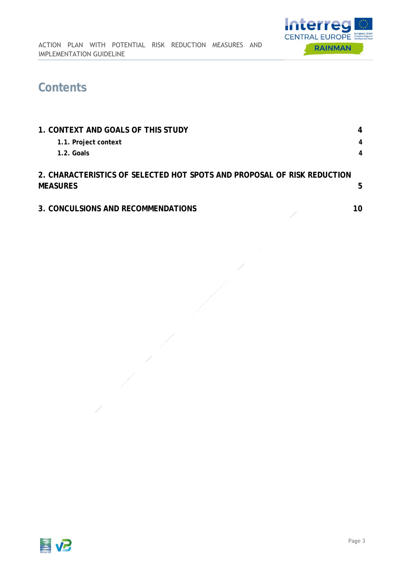

### **Contents**

| 1. CONTEXT AND GOALS OF THIS STUDY                                                         |   |
|--------------------------------------------------------------------------------------------|---|
| 1.1. Project context                                                                       | 4 |
| $1.2.$ Goals                                                                               | 4 |
| 2. CHARACTERISTICS OF SELECTED HOT SPOTS AND PROPOSAL OF RISK REDUCTION<br><b>MEASURES</b> | 5 |
| 3. CONCULSIONS AND RECOMMENDATIONS                                                         |   |

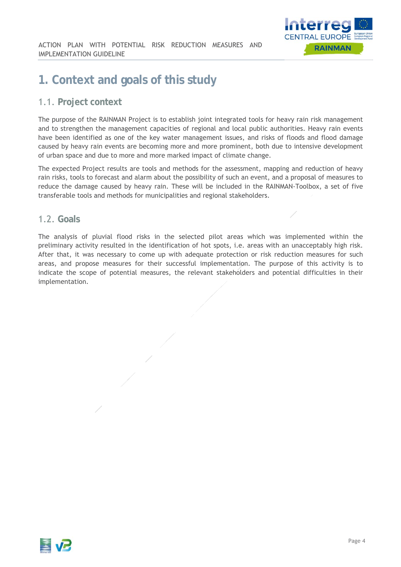

### **1. Context and goals of this study**

#### 1.1. **Project context**

The purpose of the RAINMAN Project is to establish joint integrated tools for heavy rain risk management and to strengthen the management capacities of regional and local public authorities. Heavy rain events have been identified as one of the key water management issues, and risks of floods and flood damage caused by heavy rain events are becoming more and more prominent, both due to intensive development of urban space and due to more and more marked impact of climate change.

The expected Project results are tools and methods for the assessment, mapping and reduction of heavy rain risks, tools to forecast and alarm about the possibility of such an event, and a proposal of measures to reduce the damage caused by heavy rain. These will be included in the RAINMAN-Toolbox, a set of five transferable tools and methods for municipalities and regional stakeholders.

#### 1.2. **Goals**

The analysis of pluvial flood risks in the selected pilot areas which was implemented within the preliminary activity resulted in the identification of hot spots, i.e. areas with an unacceptably high risk. After that, it was necessary to come up with adequate protection or risk reduction measures for such areas, and propose measures for their successful implementation. The purpose of this activity is to indicate the scope of potential measures, the relevant stakeholders and potential difficulties in their implementation.

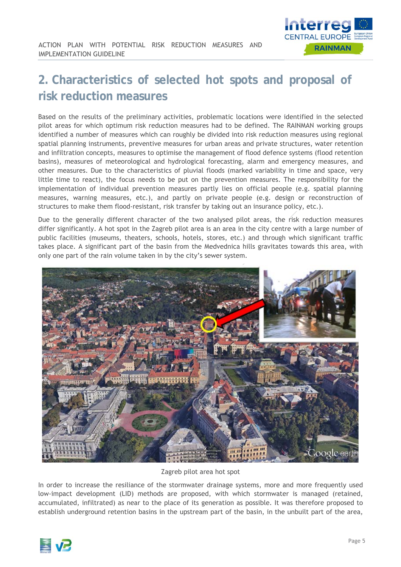

## **2. Characteristics of selected hot spots and proposal of risk reduction measures**

Based on the results of the preliminary activities, problematic locations were identified in the selected pilot areas for which optimum risk reduction measures had to be defined. The RAINMAN working groups identified a number of measures which can roughly be divided into risk reduction measures using regional spatial planning instruments, preventive measures for urban areas and private structures, water retention and infiltration concepts, measures to optimise the management of flood defence systems (flood retention basins), measures of meteorological and hydrological forecasting, alarm and emergency measures, and other measures. Due to the characteristics of pluvial floods (marked variability in time and space, very little time to react), the focus needs to be put on the prevention measures. The responsibility for the implementation of individual prevention measures partly lies on official people (e.g. spatial planning measures, warning measures, etc.), and partly on private people (e.g. design or reconstruction of structures to make them flood-resistant, risk transfer by taking out an insurance policy, etc.).

Due to the generally different character of the two analysed pilot areas, the risk reduction measures differ significantly. A hot spot in the Zagreb pilot area is an area in the city centre with a large number of public facilities (museums, theaters, schools, hotels, stores, etc.) and through which significant traffic takes place. A significant part of the basin from the Medvednica hills gravitates towards this area, with only one part of the rain volume taken in by the city's sewer system.



Zagreb pilot area hot spot

In order to increase the resiliance of the stormwater drainage systems, more and more frequently used low-impact development (LID) methods are proposed, with which stormwater is managed (retained, accumulated, infiltrated) as near to the place of its generation as possible. It was therefore proposed to establish underground retention basins in the upstream part of the basin, in the unbuilt part of the area,

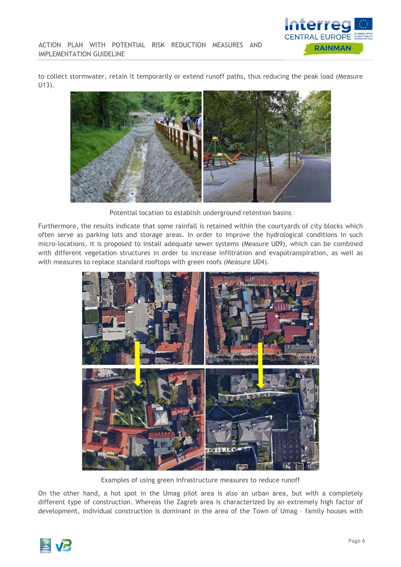

to collect stormwater, retain it temporarily or extend runoff paths, thus reducing the peak load (Measure U13).



Potential location to establish underground retention basins

Furthermore, the results indicate that some rainfall is retained within the courtyards of city blocks which often serve as parking lots and storage areas. In order to improve the hydrological conditions in such micro-locations, it is proposed to install adequate sewer systems (Measure U09), which can be combined with different vegetation structures in order to increase infiltration and evapotranspiration, as well as with measures to replace standard rooftops with green roofs (Measure U04).



Examples of using green infrastructure measures to reduce runoff

On the other hand, a hot spot in the Umag pilot area is also an urban area, but with a completely different type of construction. Whereas the Zagreb area is characterized by an extremely high factor of development, individual construction is dominant in the area of the Town of Umag – family houses with

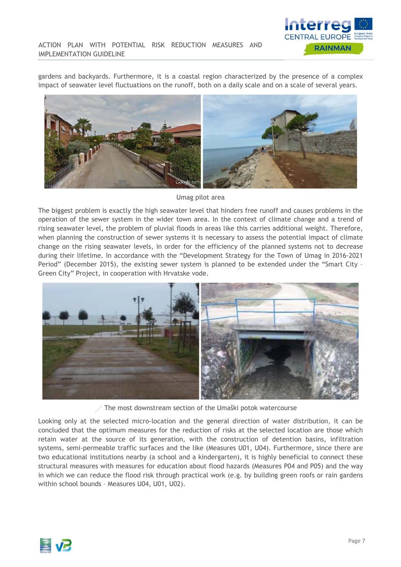

gardens and backyards. Furthermore, it is a coastal region characterized by the presence of a complex impact of seawater level fluctuations on the runoff, both on a daily scale and on a scale of several years.



Umag pilot area

The biggest problem is exactly the high seawater level that hinders free runoff and causes problems in the operation of the sewer system in the wider town area. In the context of climate change and a trend of rising seawater level, the problem of pluvial floods in areas like this carries additional weight. Therefore, when planning the construction of sewer systems it is necessary to assess the potential impact of climate change on the rising seawater levels, in order for the efficiency of the planned systems not to decrease during their lifetime. In accordance with the "Development Strategy for the Town of Umag in 2016-2021 Period" (December 2015), the existing sewer system is planned to be extended under the "Smart City – Green City" Project, in cooperation with Hrvatske vode.



The most downstream section of the Umaški potok watercourse

Looking only at the selected micro-location and the general direction of water distribution, it can be concluded that the optimum measures for the reduction of risks at the selected location are those which retain water at the source of its generation, with the construction of detention basins, infiltration systems, semi-permeable traffic surfaces and the like (Measures U01, U04). Furthermore, since there are two educational institutions nearby (a school and a kindergarten), it is highly beneficial to connect these structural measures with measures for education about flood hazards (Measures P04 and P05) and the way in which we can reduce the flood risk through practical work (e.g. by building green roofs or rain gardens within school bounds – Measures U04, U01, U02).

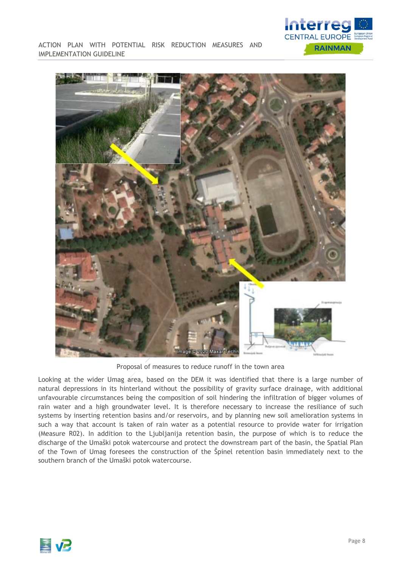

ACTION PLAN WITH POTENTIAL RISK REDUCTION MEASURES AND IMPLEMENTATION GUIDELINE



Proposal of measures to reduce runoff in the town area

Looking at the wider Umag area, based on the DEM it was identified that there is a large number of natural depressions in its hinterland without the possibility of gravity surface drainage, with additional unfavourable circumstances being the composition of soil hindering the infiltration of bigger volumes of rain water and a high groundwater level. It is therefore necessary to increase the resiliance of such systems by inserting retention basins and/or reservoirs, and by planning new soil amelioration systems in such a way that account is taken of rain water as a potential resource to provide water for irrigation (Measure R02). In addition to the Ljubljanija retention basin, the purpose of which is to reduce the discharge of the Umaški potok watercourse and protect the downstream part of the basin, the Spatial Plan of the Town of Umag foresees the construction of the Špinel retention basin immediately next to the southern branch of the Umaški potok watercourse.

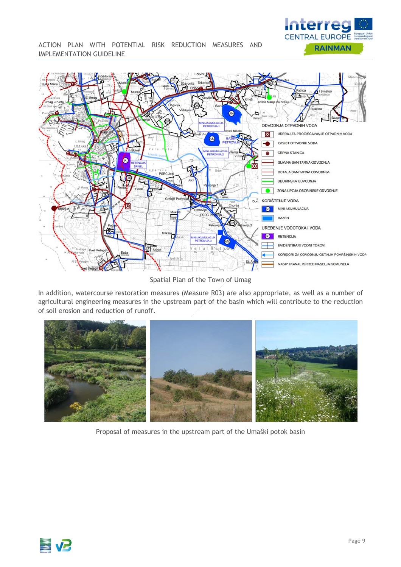

ACTION PLAN WITH POTENTIAL RISK REDUCTION MEASURES AND IMPLEMENTATION GUIDELINE



Spatial Plan of the Town of Umag

In addition, watercourse restoration measures (Measure R03) are also appropriate, as well as a number of agricultural engineering measures in the upstream part of the basin which will contribute to the reduction of soil erosion and reduction of runoff.



Proposal of measures in the upstream part of the Umaški potok basin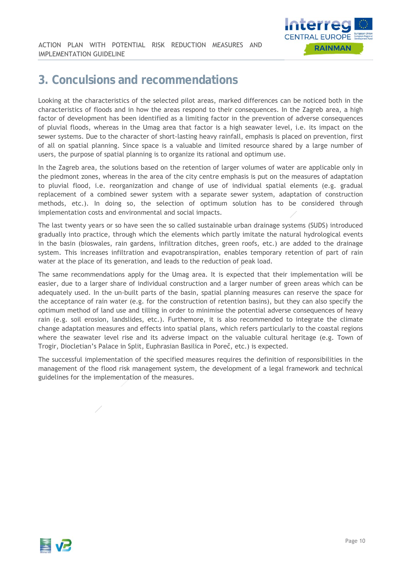

### **3. Conculsions and recommendations**

Looking at the characteristics of the selected pilot areas, marked differences can be noticed both in the characteristics of floods and in how the areas respond to their consequences. In the Zagreb area, a high factor of development has been identified as a limiting factor in the prevention of adverse consequences of pluvial floods, whereas in the Umag area that factor is a high seawater level, i.e. its impact on the sewer systems. Due to the character of short-lasting heavy rainfall, emphasis is placed on prevention, first of all on spatial planning. Since space is a valuable and limited resource shared by a large number of users, the purpose of spatial planning is to organize its rational and optimum use.

In the Zagreb area, the solutions based on the retention of larger volumes of water are applicable only in the piedmont zones, whereas in the area of the city centre emphasis is put on the measures of adaptation to pluvial flood, i.e. reorganization and change of use of individual spatial elements (e.g. gradual replacement of a combined sewer system with a separate sewer system, adaptation of construction methods, etc.). In doing so, the selection of optimum solution has to be considered through implementation costs and environmental and social impacts.

The last twenty years or so have seen the so called sustainable urban drainage systems (SUDS) introduced gradually into practice, through which the elements which partly imitate the natural hydrological events in the basin (bioswales, rain gardens, infiltration ditches, green roofs, etc.) are added to the drainage system. This increases infiltration and evapotranspiration, enables temporary retention of part of rain water at the place of its generation, and leads to the reduction of peak load.

The same recommendations apply for the Umag area. It is expected that their implementation will be easier, due to a larger share of individual construction and a larger number of green areas which can be adequately used. In the un-built parts of the basin, spatial planning measures can reserve the space for the acceptance of rain water (e.g. for the construction of retention basins), but they can also specify the optimum method of land use and tilling in order to minimise the potential adverse consequences of heavy rain (e.g. soil erosion, landslides, etc.). Furthemore, it is also recommended to integrate the climate change adaptation measures and effects into spatial plans, which refers particularly to the coastal regions where the seawater level rise and its adverse impact on the valuable cultural heritage (e.g. Town of Trogir, Diocletian's Palace in Split, Euphrasian Basilica in Poreč, etc.) is expected.

The successful implementation of the specified measures requires the definition of responsibilities in the management of the flood risk management system, the development of a legal framework and technical guidelines for the implementation of the measures.